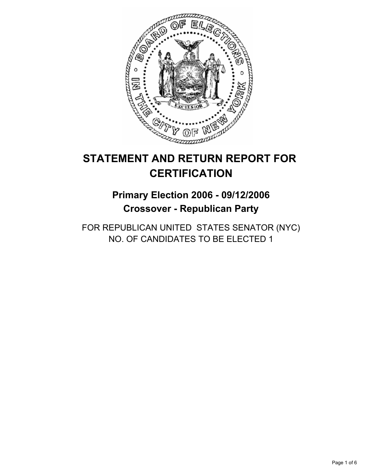

# **STATEMENT AND RETURN REPORT FOR CERTIFICATION**

## **Primary Election 2006 - 09/12/2006 Crossover - Republican Party**

FOR REPUBLICAN UNITED STATES SENATOR (NYC) NO. OF CANDIDATES TO BE ELECTED 1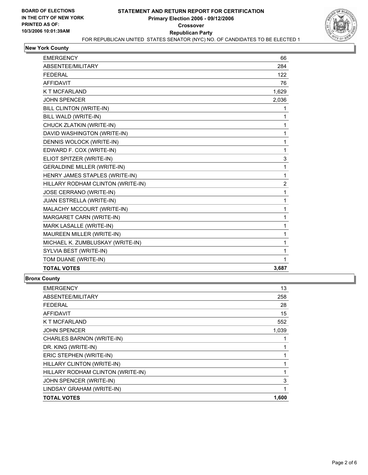

#### **New York County**

| <b>EMERGENCY</b>                   | 66    |  |
|------------------------------------|-------|--|
| ABSENTEE/MILITARY                  | 284   |  |
| <b>FEDERAL</b>                     | 122   |  |
| <b>AFFIDAVIT</b>                   | 76    |  |
| <b>K T MCFARLAND</b>               | 1,629 |  |
| <b>JOHN SPENCER</b>                | 2,036 |  |
| <b>BILL CLINTON (WRITE-IN)</b>     | 1     |  |
| BILL WALD (WRITE-IN)               |       |  |
| CHUCK ZLATKIN (WRITE-IN)           | 1     |  |
| DAVID WASHINGTON (WRITE-IN)        | 1     |  |
| DENNIS WOLOCK (WRITE-IN)           | 1     |  |
| EDWARD F. COX (WRITE-IN)           | 1     |  |
| ELIOT SPITZER (WRITE-IN)           | 3     |  |
| <b>GERALDINE MILLER (WRITE-IN)</b> | 1     |  |
| HENRY JAMES STAPLES (WRITE-IN)     | 1     |  |
| HILLARY RODHAM CLINTON (WRITE-IN)  | 2     |  |
| JOSE CERRANO (WRITE-IN)            | 1     |  |
| JUAN ESTRELLA (WRITE-IN)           | 1     |  |
| MALACHY MCCOURT (WRITE-IN)         | 1     |  |
| MARGARET CARN (WRITE-IN)           | 1     |  |
| MARK LASALLE (WRITE-IN)            | 1     |  |
| MAUREEN MILLER (WRITE-IN)          | 1     |  |
| MICHAEL K. ZUMBLUSKAY (WRITE-IN)   | 1     |  |
| SYLVIA BEST (WRITE-IN)             |       |  |
| TOM DUANE (WRITE-IN)               |       |  |
| <b>TOTAL VOTES</b>                 | 3,687 |  |

#### **Bronx County**

| <b>EMERGENCY</b>                  | 13    |
|-----------------------------------|-------|
| ABSENTEE/MILITARY                 | 258   |
| <b>FEDERAL</b>                    | 28    |
| <b>AFFIDAVIT</b>                  | 15    |
| <b>K T MCFARLAND</b>              | 552   |
| <b>JOHN SPENCER</b>               | 1,039 |
| CHARLES BARNON (WRITE-IN)         |       |
| DR. KING (WRITE-IN)               |       |
| ERIC STEPHEN (WRITE-IN)           |       |
| HILLARY CLINTON (WRITE-IN)        |       |
| HILLARY RODHAM CLINTON (WRITE-IN) |       |
| JOHN SPENCER (WRITE-IN)           | 3     |
| LINDSAY GRAHAM (WRITE-IN)         |       |
| <b>TOTAL VOTES</b>                | 1,600 |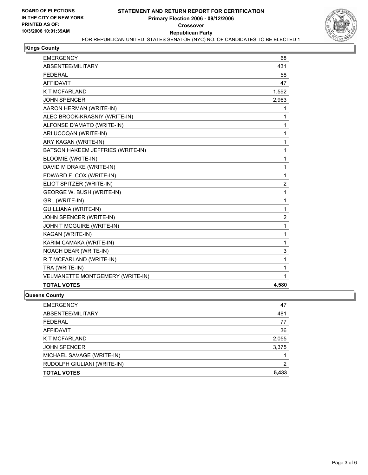

#### **Kings County**

| <b>EMERGENCY</b>                  | 68             |
|-----------------------------------|----------------|
| ABSENTEE/MILITARY                 | 431            |
| <b>FEDERAL</b>                    | 58             |
| <b>AFFIDAVIT</b>                  | 47             |
| <b>K T MCFARLAND</b>              | 1,592          |
| <b>JOHN SPENCER</b>               | 2,963          |
| AARON HERMAN (WRITE-IN)           | 1              |
| ALEC BROOK-KRASNIY (WRITE-IN)     | 1              |
| ALFONSE D'AMATO (WRITE-IN)        | 1              |
| ARI UCOQAN (WRITE-IN)             | 1              |
| ARY KAGAN (WRITE-IN)              | 1              |
| BATSON HAKEEM JEFFRIES (WRITE-IN) | 1              |
| <b>BLOOMIE (WRITE-IN)</b>         | 1              |
| DAVID M DRAKE (WRITE-IN)          | 1              |
| EDWARD F. COX (WRITE-IN)          | 1              |
| ELIOT SPITZER (WRITE-IN)          | $\overline{2}$ |
| GEORGE W. BUSH (WRITE-IN)         | 1              |
| GRL (WRITE-IN)                    | 1              |
| <b>GUILLIANA (WRITE-IN)</b>       | 1              |
| JOHN SPENCER (WRITE-IN)           | $\overline{2}$ |
| JOHN T MCGUIRE (WRITE-IN)         | 1              |
| KAGAN (WRITE-IN)                  | 1              |
| KARIM CAMAKA (WRITE-IN)           | 1              |
| <b>NOACH DEAR (WRITE-IN)</b>      | 3              |
| R.T MCFARLAND (WRITE-IN)          | 1              |
| TRA (WRITE-IN)                    | 1              |
| VELMANETTE MONTGEMERY (WRITE-IN)  | 1              |
| <b>TOTAL VOTES</b>                | 4,580          |

#### **Queens County**

| 47    |
|-------|
| 481   |
| 77    |
| 36    |
| 2,055 |
| 3,375 |
|       |
| 2     |
| 5,433 |
|       |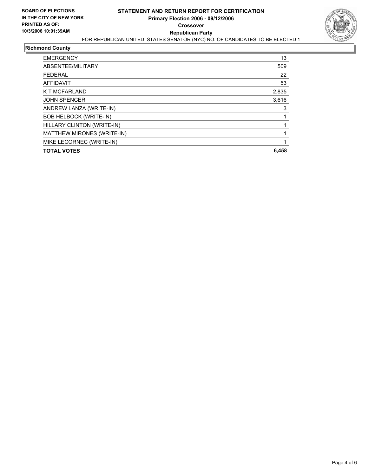

## **Richmond County**

| <b>EMERGENCY</b>              | 13    |
|-------------------------------|-------|
| ABSENTEE/MILITARY             | 509   |
| <b>FEDERAL</b>                | 22    |
| <b>AFFIDAVIT</b>              | 53    |
| K T MCFARLAND                 | 2,835 |
| <b>JOHN SPENCER</b>           | 3,616 |
| ANDREW LANZA (WRITE-IN)       | 3     |
| <b>BOB HELBOCK (WRITE-IN)</b> |       |
| HILLARY CLINTON (WRITE-IN)    |       |
| MATTHEW MIRONES (WRITE-IN)    |       |
| MIKE LECORNEC (WRITE-IN)      |       |
| <b>TOTAL VOTES</b>            | 6,458 |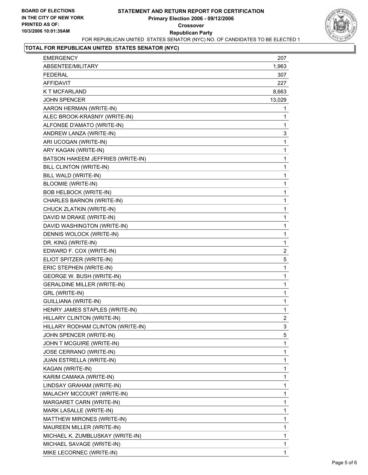

## **TOTAL FOR REPUBLICAN UNITED STATES SENATOR (NYC)**

| <b>EMERGENCY</b>                   | 207                     |
|------------------------------------|-------------------------|
| ABSENTEE/MILITARY                  | 1,963                   |
| <b>FEDERAL</b>                     | 307                     |
| <b>AFFIDAVIT</b>                   | 227                     |
| <b>K T MCFARLAND</b>               | 8,663                   |
| <b>JOHN SPENCER</b>                | 13,029                  |
| AARON HERMAN (WRITE-IN)            | 1                       |
| ALEC BROOK-KRASNIY (WRITE-IN)      | 1                       |
| ALFONSE D'AMATO (WRITE-IN)         | 1                       |
| ANDREW LANZA (WRITE-IN)            | 3                       |
| ARI UCOQAN (WRITE-IN)              | 1                       |
| ARY KAGAN (WRITE-IN)               | 1                       |
| BATSON HAKEEM JEFFRIES (WRITE-IN)  | 1                       |
| BILL CLINTON (WRITE-IN)            | 1                       |
| BILL WALD (WRITE-IN)               | 1                       |
| <b>BLOOMIE (WRITE-IN)</b>          | 1                       |
| <b>BOB HELBOCK (WRITE-IN)</b>      | 1                       |
| CHARLES BARNON (WRITE-IN)          | 1                       |
| CHUCK ZLATKIN (WRITE-IN)           | 1                       |
| DAVID M DRAKE (WRITE-IN)           | 1                       |
| DAVID WASHINGTON (WRITE-IN)        | 1                       |
| DENNIS WOLOCK (WRITE-IN)           | 1                       |
| DR. KING (WRITE-IN)                | 1                       |
| EDWARD F. COX (WRITE-IN)           | $\overline{\mathbf{c}}$ |
| ELIOT SPITZER (WRITE-IN)           | 5                       |
| ERIC STEPHEN (WRITE-IN)            | 1                       |
| GEORGE W. BUSH (WRITE-IN)          | 1                       |
| <b>GERALDINE MILLER (WRITE-IN)</b> | 1                       |
| GRL (WRITE-IN)                     | 1                       |
| <b>GUILLIANA (WRITE-IN)</b>        | 1                       |
| HENRY JAMES STAPLES (WRITE-IN)     | 1                       |
| HILLARY CLINTON (WRITE-IN)         | $\overline{\mathbf{c}}$ |
| HILLARY RODHAM CLINTON (WRITE-IN)  | 3                       |
| JOHN SPENCER (WRITE-IN)            | 5                       |
| JOHN T MCGUIRE (WRITE-IN)          | 1                       |
| JOSE CERRANO (WRITE-IN)            | 1                       |
| JUAN ESTRELLA (WRITE-IN)           | 1                       |
| KAGAN (WRITE-IN)                   | 1                       |
| KARIM CAMAKA (WRITE-IN)            | 1                       |
| LINDSAY GRAHAM (WRITE-IN)          | 1                       |
| MALACHY MCCOURT (WRITE-IN)         | 1                       |
| MARGARET CARN (WRITE-IN)           | 1                       |
| MARK LASALLE (WRITE-IN)            | 1                       |
| MATTHEW MIRONES (WRITE-IN)         | 1                       |
| MAUREEN MILLER (WRITE-IN)          | 1                       |
| MICHAEL K. ZUMBLUSKAY (WRITE-IN)   | 1                       |
| MICHAEL SAVAGE (WRITE-IN)          | 1                       |
| MIKE LECORNEC (WRITE-IN)           | 1                       |